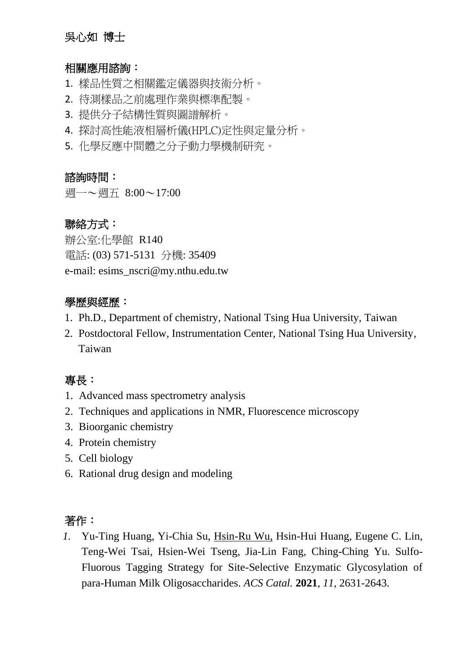# 吳心如 博士

#### 相關應用諮詢:

- 1. 樣品性質之相關鑑定儀器與技術分析。
- 2. 待測樣品之前處理作業與標準配製。
- 3. 提供分子結構性質與圖譜解析。
- 4. 探討高性能液相層析儀(HPLC)定性與定量分析。
- 5. 化學反應中間體之分子動力學機制研究。

#### 諮詢時間:

週一~週五 8:00~17:00

## 聯絡方式:

辦公室:化學館 R140 電話: (03) 571-5131 分機: 35409 e-mail: esims\_nscri@my.nthu.edu.tw

## 學歷與經歷:

- 1. Ph.D., Department of chemistry, National Tsing Hua University, Taiwan
- 2. Postdoctoral Fellow, Instrumentation Center, National Tsing Hua University, Taiwan

# 專長:

- 1. Advanced mass spectrometry analysis
- 2. Techniques and applications in NMR, Fluorescence microscopy
- 3. Bioorganic chemistry
- 4. Protein chemistry
- 5. Cell biology
- 6. Rational drug design and modeling

# 著作:

*1.* Yu-Ting Huang, Yi-Chia Su, Hsin-Ru Wu, Hsin-Hui Huang, Eugene C. Lin, Teng-Wei Tsai, Hsien-Wei Tseng, Jia-Lin Fang, Ching-Ching Yu. Sulfo-Fluorous Tagging Strategy for Site-Selective Enzymatic Glycosylation of para-Human Milk Oligosaccharides. *ACS Catal.* **2021**, *11*, 2631-2643.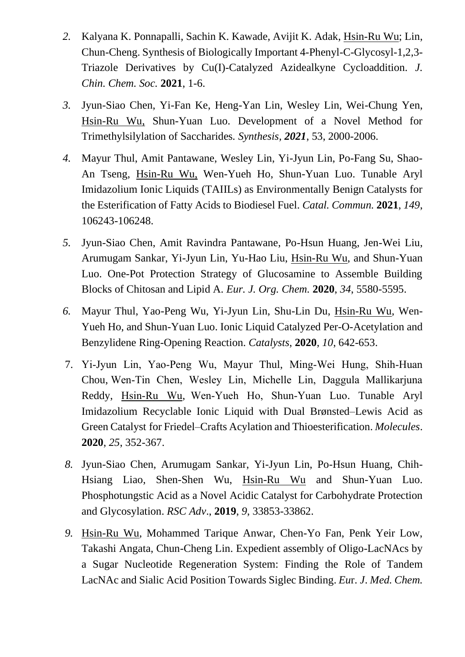- *2.* Kalyana K. Ponnapalli, Sachin K. Kawade, Avijit K. Adak, Hsin-Ru Wu; Lin, Chun-Cheng. Synthesis of Biologically Important 4-Phenyl-C-Glycosyl-1,2,3- Triazole Derivatives by Cu(I)-Catalyzed Azidealkyne Cycloaddition. *J. Chin. Chem. Soc.* **2021**, 1-6.
- *3.* Jyun-Siao Chen, Yi-Fan Ke, Heng-Yan Lin, Wesley Lin, Wei-Chung Yen, Hsin-Ru Wu, Shun-Yuan Luo. Development of a Novel Method for Trimethylsilylation of Saccharides*. Synthesis, 2021*, 53, 2000-2006.
- *4.* Mayur Thul, Amit Pantawane, Wesley Lin, Yi-Jyun Lin, Po-Fang Su, Shao-An Tseng, Hsin-Ru Wu, Wen-Yueh Ho, Shun-Yuan Luo. Tunable Aryl Imidazolium Ionic Liquids (TAIILs) as Environmentally Benign Catalysts for the Esterification of Fatty Acids to Biodiesel Fuel. *Catal. Commun.* **2021**, *149*, 106243-106248.
- *5.* Jyun-Siao Chen, Amit Ravindra Pantawane, Po-Hsun Huang, Jen-Wei Liu, Arumugam Sankar, Yi-Jyun Lin, Yu-Hao Liu, Hsin-Ru Wu, and Shun-Yuan Luo. One-Pot Protection Strategy of Glucosamine to Assemble Building Blocks of Chitosan and Lipid A. *Eur. J. Org. Chem.* **2020**, *34*, 5580-5595.
- *6.* Mayur Thul, Yao-Peng Wu, Yi-Jyun Lin, Shu-Lin Du, Hsin-Ru Wu, Wen-Yueh Ho, and Shun-Yuan Luo. Ionic Liquid Catalyzed Per-O-Acetylation and Benzylidene Ring-Opening Reaction. *Catalysts*, **2020**, *10*, 642-653.
- 7. Yi‐Jyun Lin, Yao‐Peng Wu, Mayur Thul, Ming‐Wei Hung, Shih‐Huan Chou, Wen‐Tin Chen, Wesley Lin, Michelle Lin, Daggula Mallikarjuna Reddy, Hsin‐Ru Wu, Wen‐Yueh Ho, Shun‐Yuan Luo. Tunable Aryl Imidazolium Recyclable Ionic Liquid with Dual Brønsted–Lewis Acid as Green Catalyst for Friedel–Crafts Acylation and Thioesterification. *Molecules*. **2020**, *25*, 352-367.
- *8.* Jyun-Siao Chen, Arumugam Sankar, Yi-Jyun Lin, Po-Hsun Huang, Chih-Hsiang Liao, Shen-Shen Wu, Hsin-Ru Wu and Shun-Yuan Luo. Phosphotungstic Acid as a Novel Acidic Catalyst for Carbohydrate Protection and Glycosylation. *RSC Adv*., **2019**, *9*, 33853-33862.
- *9.* Hsin-Ru Wu, Mohammed Tarique Anwar, Chen-Yo Fan, Penk Yeir Low, Takashi Angata, Chun-Cheng Lin. Expedient assembly of Oligo-LacNAcs by a Sugar Nucleotide Regeneration System: Finding the Role of Tandem LacNAc and Sialic Acid Position Towards Siglec Binding. *Eu*r. *J*. *Med. Chem.*